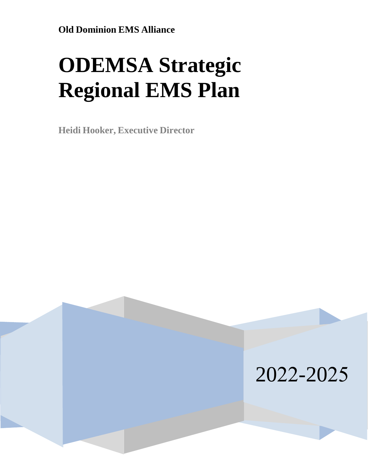# **ODEMSA Strategic Regional EMS Plan**

**Heidi Hooker, Executive Director**

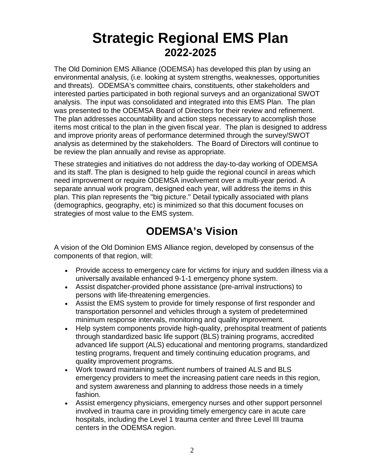## **Strategic Regional EMS Plan 2022-2025**

The Old Dominion EMS Alliance (ODEMSA) has developed this plan by using an environmental analysis, (i.e. looking at system strengths, weaknesses, opportunities and threats). ODEMSA's committee chairs, constituents, other stakeholders and interested parties participated in both regional surveys and an organizational SWOT analysis. The input was consolidated and integrated into this EMS Plan. The plan was presented to the ODEMSA Board of Directors for their review and refinement. The plan addresses accountability and action steps necessary to accomplish those items most critical to the plan in the given fiscal year. The plan is designed to address and improve priority areas of performance determined through the survey/SWOT analysis as determined by the stakeholders. The Board of Directors will continue to be review the plan annually and revise as appropriate.

These strategies and initiatives do not address the day-to-day working of ODEMSA and its staff. The plan is designed to help guide the regional council in areas which need improvement or require ODEMSA involvement over a multi-year period. A separate annual work program, designed each year, will address the items in this plan. This plan represents the "big picture." Detail typically associated with plans (demographics, geography, etc) is minimized so that this document focuses on strategies of most value to the EMS system.

## **ODEMSA's Vision**

A vision of the Old Dominion EMS Alliance region, developed by consensus of the components of that region, will:

- Provide access to emergency care for victims for injury and sudden illness via a universally available enhanced 9-1-1 emergency phone system.
- Assist dispatcher-provided phone assistance (pre-arrival instructions) to persons with life-threatening emergencies.
- Assist the EMS system to provide for timely response of first responder and transportation personnel and vehicles through a system of predetermined minimum response intervals, monitoring and quality improvement.
- Help system components provide high-quality, prehospital treatment of patients through standardized basic life support (BLS) training programs, accredited advanced life support (ALS) educational and mentoring programs, standardized testing programs, frequent and timely continuing education programs, and quality improvement programs.
- Work toward maintaining sufficient numbers of trained ALS and BLS emergency providers to meet the increasing patient care needs in this region, and system awareness and planning to address those needs in a timely fashion.
- Assist emergency physicians, emergency nurses and other support personnel involved in trauma care in providing timely emergency care in acute care hospitals, including the Level 1 trauma center and three Level III trauma centers in the ODEMSA region.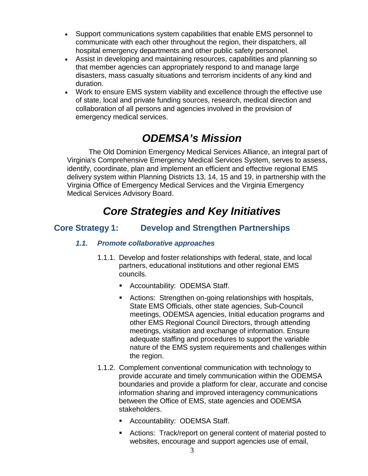- Support communications system capabilities that enable EMS personnel to communicate with each other throughout the region, their dispatchers, all hospital emergency departments and other public safety personnel.
- Assist in developing and maintaining resources, capabilities and planning so that member agencies can appropriately respond to and manage large disasters, mass casualty situations and terrorism incidents of any kind and duration.
- Work to ensure EMS system viability and excellence through the effective use of state, local and private funding sources, research, medical direction and collaboration of all persons and agencies involved in the provision of emergency medical services.

### *ODEMSA's Mission*

The Old Dominion Emergency Medical Services Alliance, an integral part of Virginia's Comprehensive Emergency Medical Services System, serves to assess, identify, coordinate, plan and implement an efficient and effective regional EMS delivery system within Planning Districts 13, 14, 15 and 19, in partnership with the Virginia Office of Emergency Medical Services and the Virginia Emergency Medical Services Advisory Board.

## *Core Strategies and Key Initiatives*

#### **Core Strategy 1: Develop and Strengthen Partnerships**

#### *1.1. Promote collaborative approaches*

- 1.1.1. Develop and foster relationships with federal, state, and local partners, educational institutions and other regional EMS councils.
	- **Accountability: ODEMSA Staff.**
	- Actions: Strengthen on-going relationships with hospitals, State EMS Officials, other state agencies, Sub-Council meetings, ODEMSA agencies, Initial education programs and other EMS Regional Council Directors, through attending meetings, visitation and exchange of information. Ensure adequate staffing and procedures to support the variable nature of the EMS system requirements and challenges within the region.
- 1.1.2. Complement conventional communication with technology to provide accurate and timely communication within the ODEMSA boundaries and provide a platform for clear, accurate and concise information sharing and improved interagency communications between the Office of EMS, state agencies and ODEMSA stakeholders.
	- **Accountability: ODEMSA Staff.**
	- Actions: Track/report on general content of material posted to websites, encourage and support agencies use of email,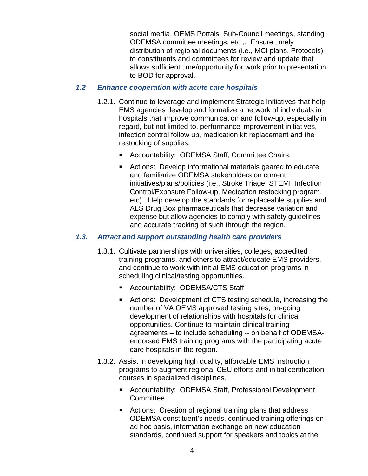social media, OEMS Portals, Sub-Council meetings, standing ODEMSA committee meetings, etc ,. Ensure timely distribution of regional documents (i.e., MCI plans, Protocols) to constituents and committees for review and update that allows sufficient time/opportunity for work prior to presentation to BOD for approval.

#### *1.2 Enhance cooperation with acute care hospitals*

- 1.2.1. Continue to leverage and implement Strategic Initiatives that help EMS agencies develop and formalize a network of individuals in hospitals that improve communication and follow-up, especially in regard, but not limited to, performance improvement initiatives, infection control follow up, medication kit replacement and the restocking of supplies.
	- **Accountability: ODEMSA Staff, Committee Chairs.**
	- Actions: Develop informational materials geared to educate and familiarize ODEMSA stakeholders on current initiatives/plans/policies (i.e., Stroke Triage, STEMI, Infection Control/Exposure Follow-up, Medication restocking program, etc). Help develop the standards for replaceable supplies and ALS Drug Box pharmaceuticals that decrease variation and expense but allow agencies to comply with safety guidelines and accurate tracking of such through the region.

#### *1.3. Attract and support outstanding health care providers*

- 1.3.1. Cultivate partnerships with universities, colleges, accredited training programs, and others to attract/educate EMS providers, and continue to work with initial EMS education programs in scheduling clinical/testing opportunities.
	- **Accountability: ODEMSA/CTS Staff**
	- Actions: Development of CTS testing schedule, increasing the number of VA OEMS approved testing sites, on-going development of relationships with hospitals for clinical opportunities. Continue to maintain clinical training agreements – to include scheduling -- on behalf of ODEMSAendorsed EMS training programs with the participating acute care hospitals in the region.
- 1.3.2. Assist in developing high quality, affordable EMS instruction programs to augment regional CEU efforts and initial certification courses in specialized disciplines.
	- Accountability: ODEMSA Staff, Professional Development **Committee**
	- Actions: Creation of regional training plans that address ODEMSA constituent's needs, continued training offerings on ad hoc basis, information exchange on new education standards, continued support for speakers and topics at the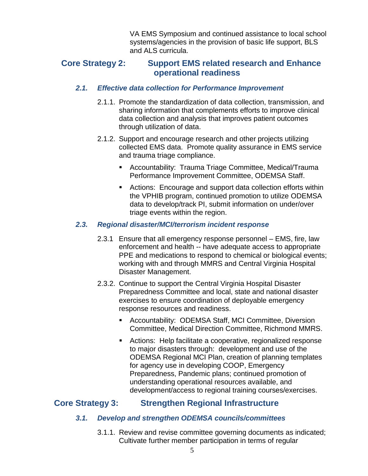VA EMS Symposium and continued assistance to local school systems/agencies in the provision of basic life support, BLS and ALS curricula.

#### **Core Strategy 2: Support EMS related research and Enhance operational readiness**

#### *2.1. Effective data collection for Performance Improvement*

- 2.1.1. Promote the standardization of data collection, transmission, and sharing information that complements efforts to improve clinical data collection and analysis that improves patient outcomes through utilization of data.
- 2.1.2. Support and encourage research and other projects utilizing collected EMS data. Promote quality assurance in EMS service and trauma triage compliance.
	- Accountability: Trauma Triage Committee, Medical/Trauma Performance Improvement Committee, ODEMSA Staff.
	- Actions: Encourage and support data collection efforts within the VPHIB program, continued promotion to utilize ODEMSA data to develop/track PI, submit information on under/over triage events within the region.

#### *2.3. Regional disaster/MCI/terrorism incident response*

- 2.3.1 Ensure that all emergency response personnel EMS, fire, law enforcement and health -- have adequate access to appropriate PPE and medications to respond to chemical or biological events; working with and through MMRS and Central Virginia Hospital Disaster Management.
- 2.3.2. Continue to support the Central Virginia Hospital Disaster Preparedness Committee and local, state and national disaster exercises to ensure coordination of deployable emergency response resources and readiness.
	- Accountability: ODEMSA Staff, MCI Committee, Diversion Committee, Medical Direction Committee, Richmond MMRS.
	- Actions: Help facilitate a cooperative, regionalized response to major disasters through: development and use of the ODEMSA Regional MCI Plan, creation of planning templates for agency use in developing COOP, Emergency Preparedness, Pandemic plans; continued promotion of understanding operational resources available, and development/access to regional training courses/exercises.

#### **Core Strategy 3: Strengthen Regional Infrastructure**

#### *3.1. Develop and strengthen ODEMSA councils/committees*

3.1.1. Review and revise committee governing documents as indicated; Cultivate further member participation in terms of regular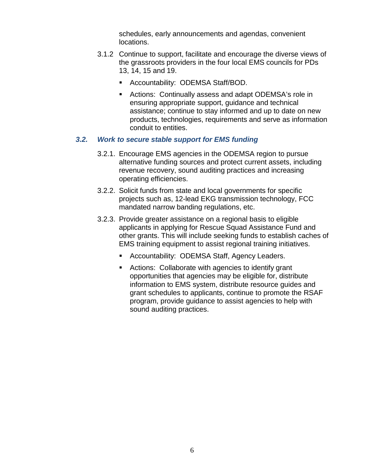schedules, early announcements and agendas, convenient locations.

- 3.1.2 Continue to support, facilitate and encourage the diverse views of the grassroots providers in the four local EMS councils for PDs 13, 14, 15 and 19.
	- **-** Accountability: ODEMSA Staff/BOD.
	- Actions: Continually assess and adapt ODEMSA's role in ensuring appropriate support, guidance and technical assistance; continue to stay informed and up to date on new products, technologies, requirements and serve as information conduit to entities.

#### *3.2. Work to secure stable support for EMS funding*

- 3.2.1. Encourage EMS agencies in the ODEMSA region to pursue alternative funding sources and protect current assets, including revenue recovery, sound auditing practices and increasing operating efficiencies.
- 3.2.2. Solicit funds from state and local governments for specific projects such as, 12-lead EKG transmission technology, FCC mandated narrow banding regulations, etc.
- 3.2.3. Provide greater assistance on a regional basis to eligible applicants in applying for Rescue Squad Assistance Fund and other grants. This will include seeking funds to establish caches of EMS training equipment to assist regional training initiatives.
	- **EXECOUNTABILITY: ODEMSA Staff, Agency Leaders.**
	- **EXEC** Actions: Collaborate with agencies to identify grant opportunities that agencies may be eligible for, distribute information to EMS system, distribute resource guides and grant schedules to applicants, continue to promote the RSAF program, provide guidance to assist agencies to help with sound auditing practices.